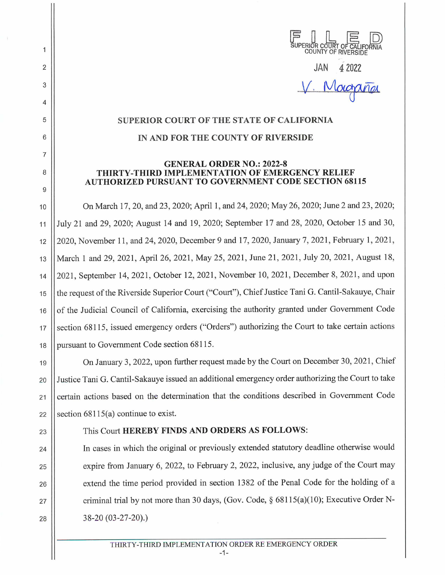| SUPERIOR COURT OF CALIFORNIA |                     |  |
|------------------------------|---------------------|--|
|                              | COUNTY OF RIVERSIDE |  |

JAN 4 2022  $V.$  Mo

# **SUPERIOR COURT OF THE STATE OF CALIFORNIA**

# **IN AND FOR THE COUNTY OF RIVERSIDE**

### **GENERAL ORDER NO.: 2022-8 THIRTY-THIRD IMPLEMENTATION OF EMERGENCY RELIEF AUTHORIZED PURSUANT TO GOVERNMENT CODE SECTION 68115**

10 On March 17, 20, and 23, 2020; April 1, and 24, 2020; May 26, 2020; June 2 and 23, 2020; 11 July 21 and 29, 2020; August 14 and 19, 2020; September 17 and 28, 2020, October 15 and 30, 12 2020, November 11, and 24, 2020, December 9 and 17, 2020, January 7, 2021, February 1, 2021 , 13 || March 1 and 29, 2021, April 26, 2021, May 25, 2021, June 21, 2021, July 20, 2021, August 18, 14 2021, September 14, 2021 , October 12, 2021, November 10, 2021, December 8, 2021, and upon 15 the request of the Riverside Superior Court ("Court"), Chief Justice Tani G. Cantil-Sakauye, Chair 16 | of the Judicial Council of California, exercising the authority granted under Government Code 17 Section 68115, issued emergency orders ("Orders") authorizing the Court to take certain actions 18 Dursuant to Government Code section 68115.

19 | On January 3, 2022, upon further request made by the Court on December 30, 2021, Chief 20 Justice Tani G. Cantil-Sakauye issued an additional emergency order authorizing the Court to take 21 Certain actions based on the determination that the conditions described in Government Code 22 Section  $68115(a)$  continue to exist.

2

 $\mathbf{1}$ 

3

4

5

6

7

8

9

# 23 This Court **HEREBY FINDS AND ORDERS AS FOLLOWS:**

24 In cases in which the original or previously extended statutory deadline otherwise would 25 | expire from January 6, 2022, to February 2, 2022, inclusive, any judge of the Court may 26 | extend the time period provided in section 1382 of the Penal Code for the holding of a 27  $\vert$  criminal trial by not more than 30 days, (Gov. Code, § 68115(a)(10); Executive Order N-28 38-20 (03-27-20).)